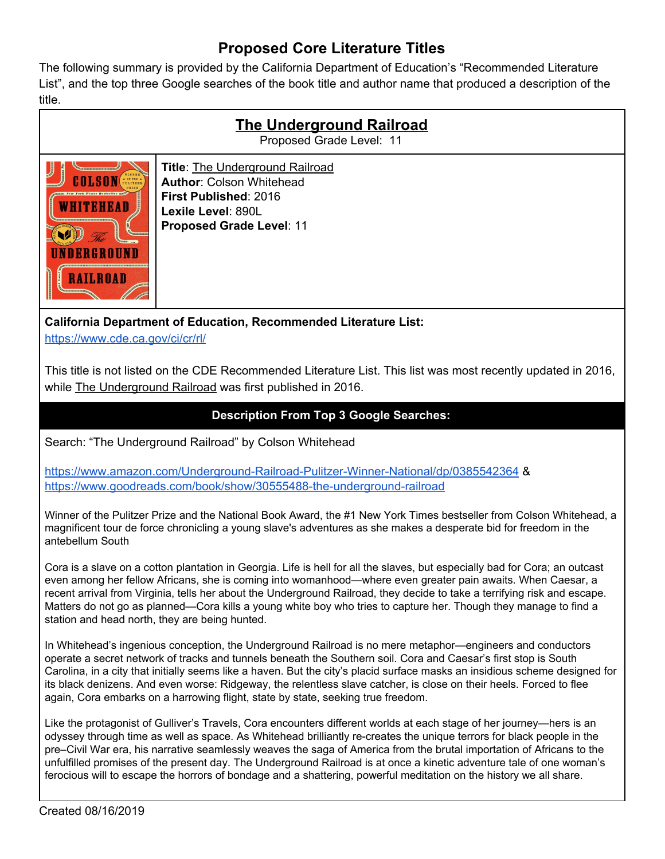## **Proposed Core Literature Titles**

The following summary is provided by the California Department of Education's "Recommended Literature List", and the top three Google searches of the book title and author name that produced a description of the title.

| <b>The Underground Railroad</b><br>Proposed Grade Level: 11 |                                                                                                                                                                    |
|-------------------------------------------------------------|--------------------------------------------------------------------------------------------------------------------------------------------------------------------|
| (TZB)<br><b>New York Times Bestseller mm</b><br>.ROAD       | <b>Title: The Underground Railroad</b><br><b>Author: Colson Whitehead</b><br><b>First Published: 2016</b><br>Lexile Level: 890L<br><b>Proposed Grade Level: 11</b> |

**California Department of Education, Recommended Literature List:**

<https://www.cde.ca.gov/ci/cr/rl/>

This title is not listed on the CDE Recommended Literature List. This list was most recently updated in 2016, while The Underground Railroad was first published in 2016.

## **Description From Top 3 Google Searches:**

Search: "The Underground Railroad" by Colson Whitehead

<https://www.amazon.com/Underground-Railroad-Pulitzer-Winner-National/dp/0385542364> & <https://www.goodreads.com/book/show/30555488-the-underground-railroad>

Winner of the Pulitzer Prize and the National Book Award, the #1 New York Times bestseller from Colson Whitehead, a magnificent tour de force chronicling a young slave's adventures as she makes a desperate bid for freedom in the antebellum South

Cora is a slave on a cotton plantation in Georgia. Life is hell for all the slaves, but especially bad for Cora; an outcast even among her fellow Africans, she is coming into womanhood—where even greater pain awaits. When Caesar, a recent arrival from Virginia, tells her about the Underground Railroad, they decide to take a terrifying risk and escape. Matters do not go as planned—Cora kills a young white boy who tries to capture her. Though they manage to find a station and head north, they are being hunted.

In Whitehead's ingenious conception, the Underground Railroad is no mere metaphor—engineers and conductors operate a secret network of tracks and tunnels beneath the Southern soil. Cora and Caesar's first stop is South Carolina, in a city that initially seems like a haven. But the city's placid surface masks an insidious scheme designed for its black denizens. And even worse: Ridgeway, the relentless slave catcher, is close on their heels. Forced to flee again, Cora embarks on a harrowing flight, state by state, seeking true freedom.

Like the protagonist of Gulliver's Travels, Cora encounters different worlds at each stage of her journey—hers is an odyssey through time as well as space. As Whitehead brilliantly re-creates the unique terrors for black people in the pre–Civil War era, his narrative seamlessly weaves the saga of America from the brutal importation of Africans to the unfulfilled promises of the present day. The Underground Railroad is at once a kinetic adventure tale of one woman's ferocious will to escape the horrors of bondage and a shattering, powerful meditation on the history we all share.